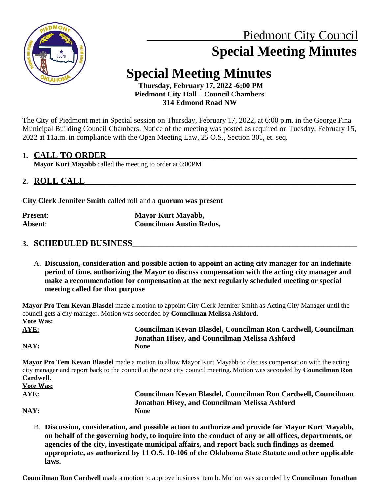

# Piedmont City Council  **Special Meeting Minutes**

## **Special Meeting Minutes**

 **Thursday, February 17, 2022 -6:00 PM Piedmont City Hall – Council Chambers 314 Edmond Road NW**

The City of Piedmont met in Special session on Thursday, February 17, 2022, at 6:00 p.m. in the George Fina Municipal Building Council Chambers. Notice of the meeting was posted as required on Tuesday, February 15, 2022 at 11a.m. in compliance with the Open Meeting Law, 25 O.S., Section 301, et. seq.

#### **1. CALL TO ORDER\_\_\_\_\_\_\_\_\_\_\_\_\_\_\_\_\_\_\_\_\_\_\_\_\_\_\_\_\_\_\_\_\_\_\_\_\_\_\_\_\_\_\_\_\_\_\_\_\_\_\_\_\_\_\_\_\_\_\_\_\_\_\_\_\_\_\_**

**Mayor Kurt Mayabb** called the meeting to order at 6:00PM

#### **2. ROLL CALL\_\_\_\_\_\_\_\_\_\_\_\_\_\_\_\_\_\_\_\_\_\_\_\_\_\_\_\_\_\_\_\_\_\_\_\_\_\_\_\_\_\_\_\_\_\_\_\_\_\_\_\_\_\_\_\_\_\_\_\_\_\_**

**City Clerk Jennifer Smith** called roll and a **quorum was present**

| <b>Present:</b> | Mayor Kurt Mayabb,              |
|-----------------|---------------------------------|
| Absent:         | <b>Councilman Austin Redus,</b> |

#### **3. SCHEDULED BUSINESS\_\_\_\_\_\_\_\_\_\_\_\_\_\_\_\_\_\_\_\_\_\_\_\_\_\_\_\_\_\_\_\_\_\_\_\_\_\_\_\_\_\_\_\_\_\_\_\_\_\_\_\_\_\_\_\_\_\_\_\_**

A. **Discussion, consideration and possible action to appoint an acting city manager for an indefinite period of time, authorizing the Mayor to discuss compensation with the acting city manager and make a recommendation for compensation at the next regularly scheduled meeting or special meeting called for that purpose**

**Mayor Pro Tem Kevan Blasdel** made a motion to appoint City Clerk Jennifer Smith as Acting City Manager until the council gets a city manager. Motion was seconded by **Councilman Melissa Ashford. Vote Was: AYE: Councilman Kevan Blasdel, Councilman Ron Cardwell, Councilman**

**NAY: None**

**Jonathan Hisey, and Councilman Melissa Ashford**

**Mayor Pro Tem Kevan Blasdel** made a motion to allow Mayor Kurt Mayabb to discuss compensation with the acting city manager and report back to the council at the next city council meeting. Motion was seconded by **Councilman Ron Cardwell. Vote Was:**

| AYE: | Councilman Kevan Blasdel, Councilman Ron Cardwell, Councilman |
|------|---------------------------------------------------------------|
|      | Jonathan Hisey, and Councilman Melissa Ashford                |
| NAY: | None                                                          |

B. **Discussion, consideration, and possible action to authorize and provide for Mayor Kurt Mayabb, on behalf of the governing body, to inquire into the conduct of any or all offices, departments, or agencies of the city, investigate municipal affairs, and report back such findings as deemed appropriate, as authorized by 11 O.S. 10-106 of the Oklahoma State Statute and other applicable laws.**

**Councilman Ron Cardwell** made a motion to approve business item b. Motion was seconded by **Councilman Jonathan**